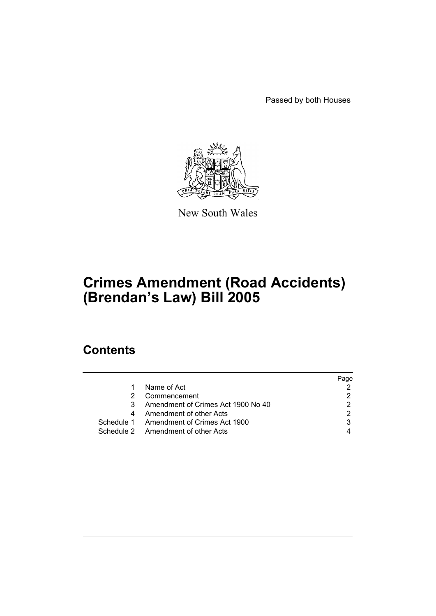Passed by both Houses



New South Wales

# **Crimes Amendment (Road Accidents) (Brendan's Law) Bill 2005**

# **Contents**

|               |                                         | Page |
|---------------|-----------------------------------------|------|
| 1.            | Name of Act                             |      |
| $\mathcal{P}$ | Commencement                            |      |
| 3.            | Amendment of Crimes Act 1900 No 40      |      |
|               | 4 Amendment of other Acts               |      |
|               | Schedule 1 Amendment of Crimes Act 1900 |      |
|               | Schedule 2 Amendment of other Acts      |      |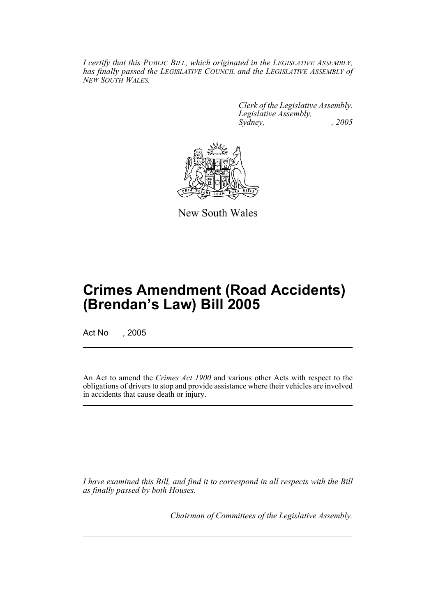*I certify that this PUBLIC BILL, which originated in the LEGISLATIVE ASSEMBLY, has finally passed the LEGISLATIVE COUNCIL and the LEGISLATIVE ASSEMBLY of NEW SOUTH WALES.*

> *Clerk of the Legislative Assembly. Legislative Assembly, Sydney, , 2005*



New South Wales

# **Crimes Amendment (Road Accidents) (Brendan's Law) Bill 2005**

Act No , 2005

An Act to amend the *Crimes Act 1900* and various other Acts with respect to the obligations of drivers to stop and provide assistance where their vehicles are involved in accidents that cause death or injury.

*I have examined this Bill, and find it to correspond in all respects with the Bill as finally passed by both Houses.*

*Chairman of Committees of the Legislative Assembly.*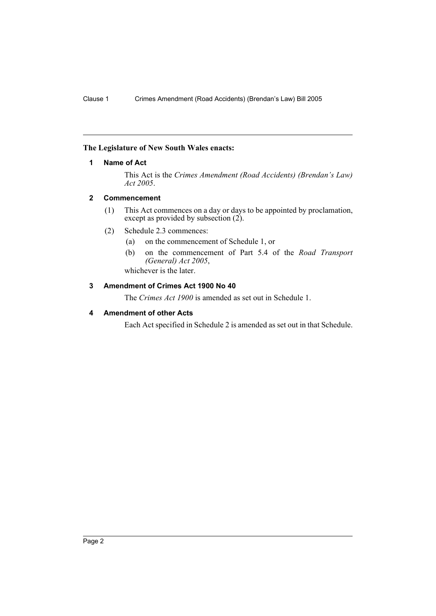### **The Legislature of New South Wales enacts:**

### **1 Name of Act**

This Act is the *Crimes Amendment (Road Accidents) (Brendan's Law) Act 2005*.

### **2 Commencement**

- (1) This Act commences on a day or days to be appointed by proclamation, except as provided by subsection (2).
- (2) Schedule 2.3 commences:
	- (a) on the commencement of Schedule 1, or
	- (b) on the commencement of Part 5.4 of the *Road Transport (General) Act 2005*,

whichever is the later.

## **3 Amendment of Crimes Act 1900 No 40**

The *Crimes Act 1900* is amended as set out in Schedule 1.

## **4 Amendment of other Acts**

Each Act specified in Schedule 2 is amended as set out in that Schedule.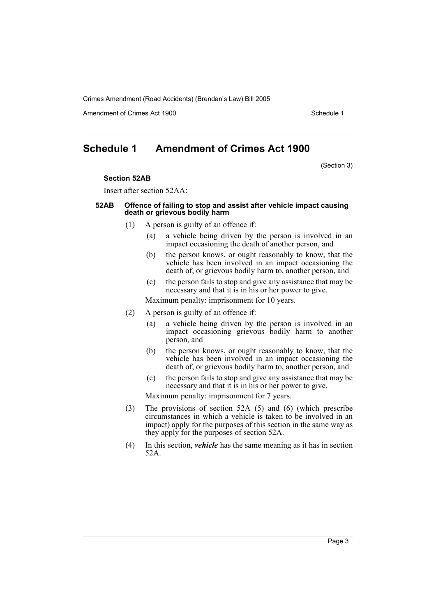Amendment of Crimes Act 1900 New York 1900 New York 1900 New York 1900

## **Schedule 1 Amendment of Crimes Act 1900**

(Section 3)

#### **Section 52AB**

Insert after section 52AA:

### **52AB Offence of failing to stop and assist after vehicle impact causing death or grievous bodily harm**

- (1) A person is guilty of an offence if:
	- (a) a vehicle being driven by the person is involved in an impact occasioning the death of another person, and
	- (b) the person knows, or ought reasonably to know, that the vehicle has been involved in an impact occasioning the death of, or grievous bodily harm to, another person, and
	- (c) the person fails to stop and give any assistance that may be necessary and that it is in his or her power to give.

Maximum penalty: imprisonment for 10 years.

- (2) A person is guilty of an offence if:
	- (a) a vehicle being driven by the person is involved in an impact occasioning grievous bodily harm to another person, and
	- (b) the person knows, or ought reasonably to know, that the vehicle has been involved in an impact occasioning the death of, or grievous bodily harm to, another person, and
	- (c) the person fails to stop and give any assistance that may be necessary and that it is in his or her power to give.

Maximum penalty: imprisonment for 7 years.

- (3) The provisions of section 52A (5) and (6) (which prescribe circumstances in which a vehicle is taken to be involved in an impact) apply for the purposes of this section in the same way as they apply for the purposes of section 52A.
- (4) In this section, *vehicle* has the same meaning as it has in section 52A.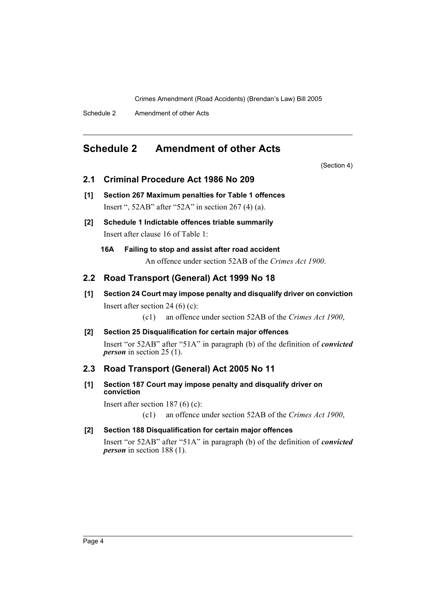Schedule 2 Amendment of other Acts

# **Schedule 2 Amendment of other Acts**

(Section 4)

### **2.1 Criminal Procedure Act 1986 No 209**

- **[1] Section 267 Maximum penalties for Table 1 offences** Insert ", 52AB" after "52A" in section 267 (4) (a).
- **[2] Schedule 1 Indictable offences triable summarily** Insert after clause 16 of Table 1:
	- **16A Failing to stop and assist after road accident** An offence under section 52AB of the *Crimes Act 1900*.

## **2.2 Road Transport (General) Act 1999 No 18**

**[1] Section 24 Court may impose penalty and disqualify driver on conviction** Insert after section 24 (6) (c):

(c1) an offence under section 52AB of the *Crimes Act 1900*,

### **[2] Section 25 Disqualification for certain major offences**

Insert "or 52AB" after "51A" in paragraph (b) of the definition of *convicted person* in section 25 (1).

## **2.3 Road Transport (General) Act 2005 No 11**

### **[1] Section 187 Court may impose penalty and disqualify driver on conviction**

Insert after section 187 (6) (c):

(c1) an offence under section 52AB of the *Crimes Act 1900*,

### **[2] Section 188 Disqualification for certain major offences**

Insert "or 52AB" after "51A" in paragraph (b) of the definition of *convicted person* in section 188 (1).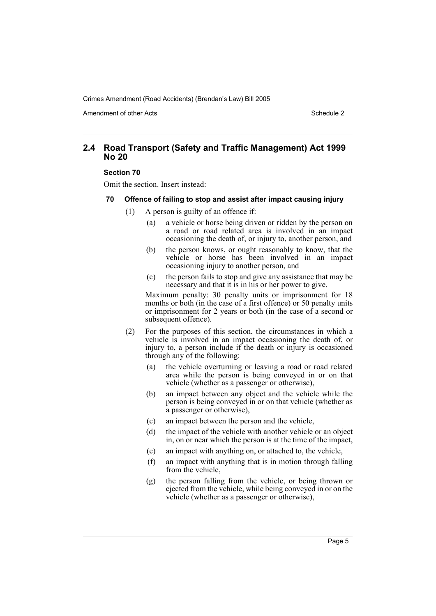Amendment of other Acts **Schedule 2** and the 2 and the 2 and 2 and 2 and 2 and 2 and 2 and 2 and 2 and 2 and 2 and 2 and 2 and 2 and 2 and 2 and 2 and 2 and 2 and 2 and 2 and 2 and 2 and 2 and 2 and 2 and 2 and 2 and 2 and

## **2.4 Road Transport (Safety and Traffic Management) Act 1999 No 20**

### **Section 70**

Omit the section. Insert instead:

### **70 Offence of failing to stop and assist after impact causing injury**

- (1) A person is guilty of an offence if:
	- (a) a vehicle or horse being driven or ridden by the person on a road or road related area is involved in an impact occasioning the death of, or injury to, another person, and
	- (b) the person knows, or ought reasonably to know, that the vehicle or horse has been involved in an impact occasioning injury to another person, and
	- (c) the person fails to stop and give any assistance that may be necessary and that it is in his or her power to give.

Maximum penalty: 30 penalty units or imprisonment for 18 months or both (in the case of a first offence) or 50 penalty units or imprisonment for 2 years or both (in the case of a second or subsequent offence).

- (2) For the purposes of this section, the circumstances in which a vehicle is involved in an impact occasioning the death of, or injury to, a person include if the death or injury is occasioned through any of the following:
	- (a) the vehicle overturning or leaving a road or road related area while the person is being conveyed in or on that vehicle (whether as a passenger or otherwise),
	- (b) an impact between any object and the vehicle while the person is being conveyed in or on that vehicle (whether as a passenger or otherwise),
	- (c) an impact between the person and the vehicle,
	- (d) the impact of the vehicle with another vehicle or an object in, on or near which the person is at the time of the impact,
	- (e) an impact with anything on, or attached to, the vehicle,
	- (f) an impact with anything that is in motion through falling from the vehicle,
	- (g) the person falling from the vehicle, or being thrown or ejected from the vehicle, while being conveyed in or on the vehicle (whether as a passenger or otherwise),